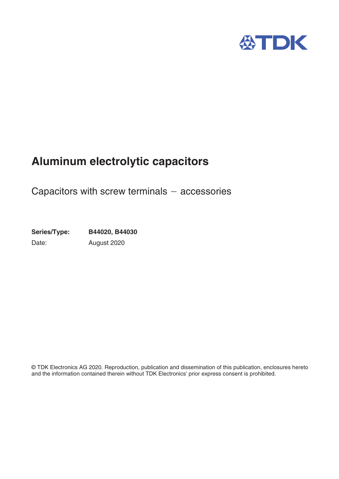

# **Aluminum electrolytic capacitors**

Capacitors with screw terminals  $-$  accessories

**Series/Type: B44020, B44030** Date: August 2020

© TDK Electronics AG 2020. Reproduction, publication and dissemination of this publication, enclosures hereto and the information contained therein without TDK Electronics' prior express consent is prohibited.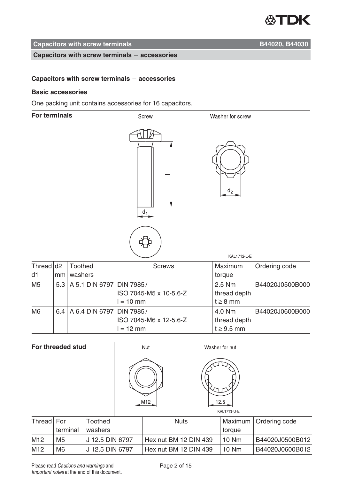

#### **Capacitors with screw terminals Capacitors With Screw terminals Capacitors B44020, B44030**

#### **Capacitors with screw terminals accessories**

#### **Capacitors with screw terminals accessories**

#### **Basic accessories**

One packing unit contains accessories for 16 capacitors.

| <b>For terminals</b> |     |                    | Screw                                              | Washer for screw                          |                 |
|----------------------|-----|--------------------|----------------------------------------------------|-------------------------------------------|-----------------|
|                      |     |                    | $d_1$                                              | $d_2$                                     |                 |
|                      |     |                    |                                                    | KAL1712-L-E                               |                 |
| Thread $d2$<br>d1    | mm  | Toothed<br>washers | <b>Screws</b>                                      | Maximum<br>torque                         | Ordering code   |
| M <sub>5</sub>       | 5.3 | A 5.1 DIN 6797     | DIN 7985/<br>ISO 7045-M5 x 10-5.6-Z<br>$l = 10$ mm | 2.5 Nm<br>thread depth<br>$t \geq 8$ mm   | B44020J0500B000 |
| M <sub>6</sub>       | 6.4 | A 6.4 DIN 6797     | DIN 7985/<br>ISO 7045-M6 x 12-5.6-Z<br>$l = 12$ mm | 4.0 Nm<br>thread depth<br>$t \geq 9.5$ mm | B44020J0600B000 |

| For threaded stud |                |                 | Nut |     |                       | Washer for nut      |                 |  |
|-------------------|----------------|-----------------|-----|-----|-----------------------|---------------------|-----------------|--|
|                   |                |                 |     | M12 |                       | 12.5<br>KAL1713-U-E |                 |  |
| Thread For        |                | <b>Toothed</b>  |     |     | <b>Nuts</b>           | Maximum             | Ordering code   |  |
|                   | terminal       | washers         |     |     |                       | torque              |                 |  |
| M12               | M <sub>5</sub> | J 12.5 DIN 6797 |     |     | Hex nut BM 12 DIN 439 | <b>10 Nm</b>        | B44020J0500B012 |  |

| Please read Cautions and warnings and        |
|----------------------------------------------|
|                                              |
| Important notes at the end of this document. |
|                                              |

M12 | M6 | J 12.5 DIN 6797 | Hex nut BM 12 DIN 439 | 10 Nm | B44020J0600B012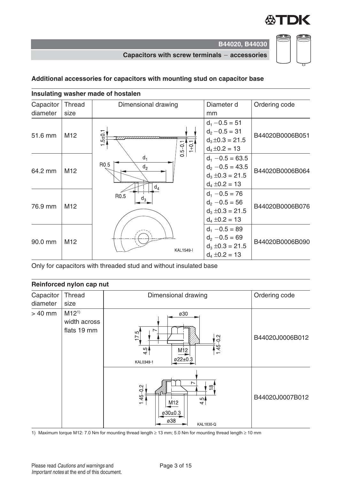

#### **Capacitors with screw terminals accessories**

## **Additional accessories for capacitors with mounting stud on capacitor base**

| Insulating washer made of hostalen |                 |                                                      |                                                                                        |                 |  |  |
|------------------------------------|-----------------|------------------------------------------------------|----------------------------------------------------------------------------------------|-----------------|--|--|
| Capacitor                          | <b>Thread</b>   | Dimensional drawing                                  |                                                                                        | Ordering code   |  |  |
| diameter                           | size            |                                                      | mm                                                                                     |                 |  |  |
| 51.6 mm                            | M <sub>12</sub> | $5 + 0.1$<br>$0.5 - 0.1$<br>$1+0$                    | $d_1 - 0.5 = 51$<br>$d_2 - 0.5 = 31$<br>$d_3 \pm 0.3 = 21.5$<br>$d_4 \pm 0.2 = 13$     | B44020B0006B051 |  |  |
| 64.2 mm                            | M12             | $d_1$<br>R <sub>0.5</sub><br>d <sub>2</sub><br>$d_4$ | $d_1 - 0.5 = 63.5$<br>$d_2 - 0.5 = 43.5$<br>$d_3 \pm 0.3 = 21.5$<br>$d_4 \pm 0.2 = 13$ | B44020B0006B064 |  |  |
| 76.9 mm                            | M <sub>12</sub> | R0.5<br>$d_3$                                        | $d_1 - 0.5 = 76$<br>$d_2 - 0.5 = 56$<br>$d_3 \pm 0.3 = 21.5$<br>$d_4 \pm 0.2 = 13$     | B44020B0006B076 |  |  |
| 90.0 mm                            | M <sub>12</sub> | <b>KAL1549-I</b>                                     | $d_1 - 0.5 = 89$<br>$d_2 - 0.5 = 69$<br>$d_3 \pm 0.3 = 21.5$<br>$d_4 \pm 0.2 = 13$     | B44020B0006B090 |  |  |

Only for capacitors with threaded stud and without insulated base

#### **Reinforced nylon cap nut**

| Capacitor<br><b>Thread</b><br>Dimensional drawing |                                          |                                                                                            | Ordering code   |  |
|---------------------------------------------------|------------------------------------------|--------------------------------------------------------------------------------------------|-----------------|--|
| diameter                                          | size                                     |                                                                                            |                 |  |
| $> 40$ mm                                         | $M12^{1}$<br>width across<br>flats 19 mm | ø30<br>$\sim$<br>17.5<br>$145 - 02$<br>4.5<br>M12<br>ø22±0.3<br>KAL0349-1                  | B44020J0006B012 |  |
|                                                   |                                          | $\overline{ }$<br>≌]<br>$145 - 0.2$<br>$\frac{5}{4}$<br>M12<br>ø30±0.3<br>ø38<br>KAL1830-Q | B44020J0007B012 |  |

1) Maximum torque M12: 7.0 Nm for mounting thread length ≥ 13 mm; 5.0 Nm for mounting thread length ≥ 10 mm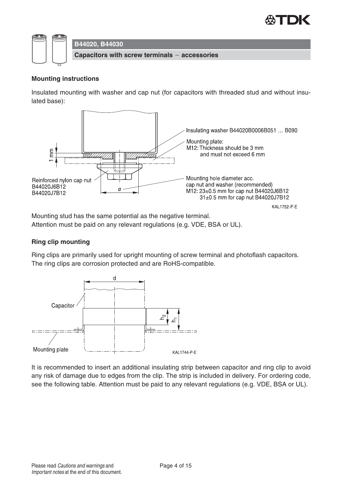



#### **Mounting instructions**

Insulated mounting with washer and cap nut (for capacitors with threaded stud and without insulated base):



Mounting stud has the same potential as the negative terminal. Attention must be paid on any relevant regulations (e.g. VDE, BSA or UL).

#### **Ring clip mounting**

Ring clips are primarily used for upright mounting of screw terminal and photoflash capacitors. The ring clips are corrosion protected and are RoHS-compatible.



It is recommended to insert an additional insulating strip between capacitor and ring clip to avoid any risk of damage due to edges from the clip. The strip is included in delivery. For ordering code, see the following table. Attention must be paid to any relevant regulations (e.g. VDE, BSA or UL).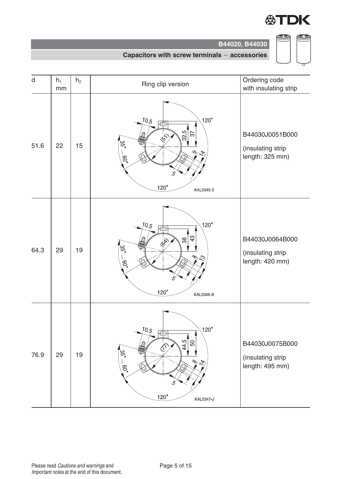

(I

CD

**B44020, B44030**

#### **Capacitors with screw terminals accessories**

| d    | $h_1$<br>mm | h <sub>2</sub> | Ring clip version                                                                                                                                                       | Ordering code<br>with insulating strip                  |
|------|-------------|----------------|-------------------------------------------------------------------------------------------------------------------------------------------------------------------------|---------------------------------------------------------|
| 51.6 | 22          | 15             | $120^\circ$<br>10.5<br>Æ<br>$\frac{32}{5}$<br>57<br>$\hat{\mathcal{S}}$<br>'ယ္ပ<br>ဟု<br>$.60^\circ$<br>$\frac{1}{2}$<br>$120^\circ$<br>KAL0345-3                       | B44030J0051B000<br>(insulating strip<br>length: 325 mm) |
| 64.3 | 29          | 19             | $120^\circ$<br>10.5<br>ᆍ<br>43<br><b>1997</b><br>₩<br>'ದ್ಧ<br>$\frac{1}{2}$ .09<br>$\infty$<br>చి<br>$120^\circ$<br>KAL0346-B                                           | B44030J0064B000<br>(insulating strip<br>length: 420 mm) |
| 76.9 | 29          | 19             | $120^\circ$<br>10.5<br>Ð<br>$\frac{445}{5}$<br>$50\,$<br>\$<br>$\hat{\mathcal{N}}$<br>'ယ္ပ<br>$\frac{1}{2}$<br>$-0.00$<br>$\bigotimes$<br>5<br>$120^\circ$<br>KAL0347-J | B44030J0075B000<br>(insulating strip<br>length: 495 mm) |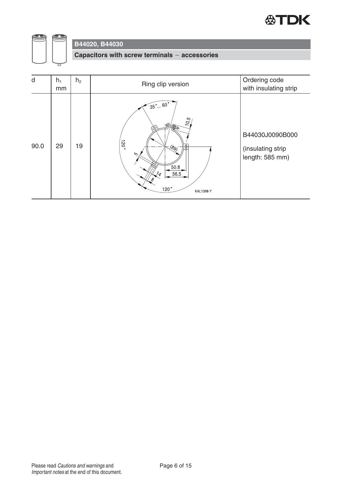



**Capacitors with screw terminals accessories**

| d    | $h_1$<br>mm | h <sub>2</sub> | Ring clip version                                                                                                                 | Ordering code<br>with insulating strip                  |
|------|-------------|----------------|-----------------------------------------------------------------------------------------------------------------------------------|---------------------------------------------------------|
| 90.0 | 29          | 19             | $\sqrt{35^\circ}$ 60 $\degree$<br>10.5<br>$120^{\circ}$<br>(89)<br>1Ψ<br>∕ა<br>50.8<br>56.5<br>$\frac{7}{4}$<br>120°<br>KAL1398-Y | B44030J0090B000<br>(insulating strip<br>length: 585 mm) |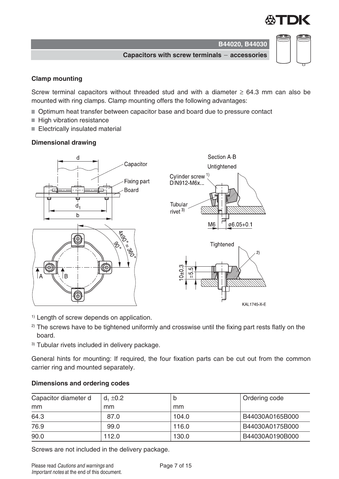ø6.05+0.1

 $\overline{2}$ 

KAL1745-X-E

**Capacitors with screw terminals accessories**

#### **Clamp mounting**

Screw terminal capacitors without threaded stud and with a diameter  $\geq 64.3$  mm can also be mounted with ring clamps. Clamp mounting offers the following advantages:

- Optimum heat transfer between capacitor base and board due to pressure contact
- High vibration resistance
- Electrically insulated material

#### **Dimensional drawing**



- <sup>1)</sup> Length of screw depends on application.
- $2)$  The screws have to be tightened uniformly and crosswise until the fixing part rests flatly on the board.
- 3) Tubular rivets included in delivery package.

General hints for mounting: If required, the four fixation parts can be cut out from the common carrier ring and mounted separately.

#### **Dimensions and ordering codes**

| Capacitor diameter d | $d_1 \pm 0.2$ | IJ    | Ordering code   |
|----------------------|---------------|-------|-----------------|
| mm                   | mm            | mm    |                 |
| 64.3                 | 87.0          | 104.0 | B44030A0165B000 |
| 76.9                 | 99.0          | 116.0 | B44030A0175B000 |
| 90.0                 | 112.0         | 130.0 | B44030A0190B000 |

Screws are not included in the delivery package.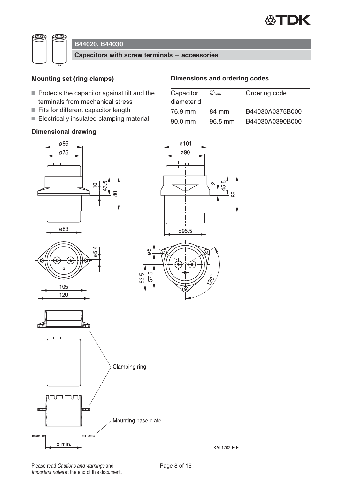



**Capacitors with screw terminals accessories**

#### **Mounting set (ring clamps)**

- $\blacksquare$  Protects the capacitor against tilt and the terminals from mechanical stress
- Fits for different capacitor length
- Electrically insulated clamping material

#### **Dimensional drawing**

## **Dimensions and ordering codes**

| Capacitor  | $\varnothing_{\min}$ | Ordering code   |
|------------|----------------------|-----------------|
| diameter d |                      |                 |
| 76.9 mm    | 84 mm                | B44030A0375B000 |
| 90.0 mm    | 96.5 mm              | B44030A0390B000 |

88







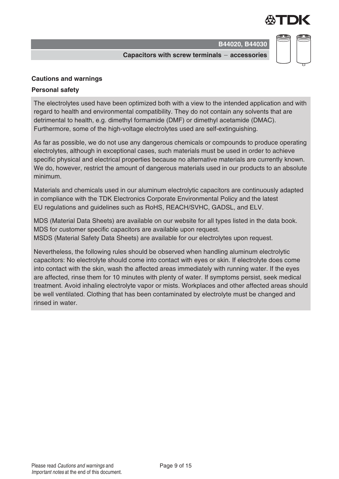

**Capacitors with screw terminals accessories**

#### **Cautions and warnings**

#### **Personal safety**

The electrolytes used have been optimized both with a view to the intended application and with regard to health and environmental compatibility. They do not contain any solvents that are detrimental to health, e.g. dimethyl formamide (DMF) or dimethyl acetamide (DMAC). Furthermore, some of the high-voltage electrolytes used are self-extinguishing.

As far as possible, we do not use any dangerous chemicals or compounds to produce operating electrolytes, although in exceptional cases, such materials must be used in order to achieve specific physical and electrical properties because no alternative materials are currently known. We do, however, restrict the amount of dangerous materials used in our products to an absolute minimum.

Materials and chemicals used in our aluminum electrolytic capacitors are continuously adapted in compliance with the TDK Electronics Corporate Environmental Policy and the latest EU regulations and guidelines such as RoHS, REACH/SVHC, GADSL, and ELV.

MDS (Material Data Sheets) are available on our website for all types listed in the data book. MDS for customer specific capacitors are available upon request. MSDS (Material Safety Data Sheets) are available for our electrolytes upon request.

Nevertheless, the following rules should be observed when handling aluminum electrolytic capacitors: No electrolyte should come into contact with eyes or skin. If electrolyte does come into contact with the skin, wash the affected areas immediately with running water. If the eyes are affected, rinse them for 10 minutes with plenty of water. If symptoms persist, seek medical treatment. Avoid inhaling electrolyte vapor or mists. Workplaces and other affected areas should be well ventilated. Clothing that has been contaminated by electrolyte must be changed and rinsed in water.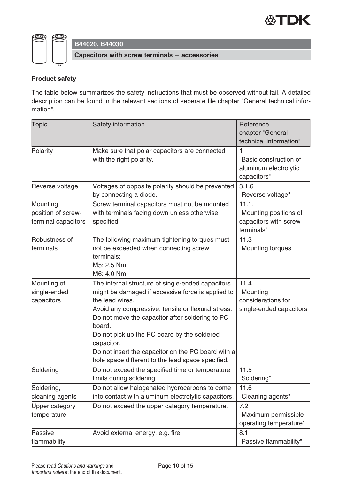



### **Product safety**

The table below summarizes the safety instructions that must be observed without fail. A detailed description can be found in the relevant sections of seperate file chapter "General technical information".

| <b>Topic</b>                                          | Safety information                                                                                                                                                                                                                                                                                                                                                                                                   | Reference<br>chapter "General<br>technical information"                |
|-------------------------------------------------------|----------------------------------------------------------------------------------------------------------------------------------------------------------------------------------------------------------------------------------------------------------------------------------------------------------------------------------------------------------------------------------------------------------------------|------------------------------------------------------------------------|
| Polarity                                              | Make sure that polar capacitors are connected<br>with the right polarity.                                                                                                                                                                                                                                                                                                                                            | 1<br>"Basic construction of<br>aluminum electrolytic<br>capacitors"    |
| Reverse voltage                                       | Voltages of opposite polarity should be prevented<br>by connecting a diode.                                                                                                                                                                                                                                                                                                                                          | 3.1.6<br>"Reverse voltage"                                             |
| Mounting<br>position of screw-<br>terminal capacitors | Screw terminal capacitors must not be mounted<br>with terminals facing down unless otherwise<br>specified.                                                                                                                                                                                                                                                                                                           | 11.1.<br>"Mounting positions of<br>capacitors with screw<br>terminals" |
| Robustness of<br>terminals                            | The following maximum tightening torques must<br>not be exceeded when connecting screw<br>terminals:<br>M5: 2.5 Nm<br>M6: 4.0 Nm                                                                                                                                                                                                                                                                                     | 11.3<br>"Mounting torques"                                             |
| Mounting of<br>single-ended<br>capacitors             | The internal structure of single-ended capacitors<br>might be damaged if excessive force is applied to<br>the lead wires.<br>Avoid any compressive, tensile or flexural stress.<br>Do not move the capacitor after soldering to PC<br>board.<br>Do not pick up the PC board by the soldered<br>capacitor.<br>Do not insert the capacitor on the PC board with a<br>hole space different to the lead space specified. | 11.4<br>"Mounting<br>considerations for<br>single-ended capacitors"    |
| Soldering                                             | Do not exceed the specified time or temperature<br>limits during soldering.                                                                                                                                                                                                                                                                                                                                          | 11.5<br>"Soldering"                                                    |
| Soldering,<br>cleaning agents                         | Do not allow halogenated hydrocarbons to come<br>into contact with aluminum electrolytic capacitors.                                                                                                                                                                                                                                                                                                                 | 11.6<br>"Cleaning agents"                                              |
| Upper category<br>temperature                         | Do not exceed the upper category temperature.                                                                                                                                                                                                                                                                                                                                                                        | 7.2<br>"Maximum permissible<br>operating temperature"                  |
| Passive<br>flammability                               | Avoid external energy, e.g. fire.                                                                                                                                                                                                                                                                                                                                                                                    | 8.1<br>"Passive flammability"                                          |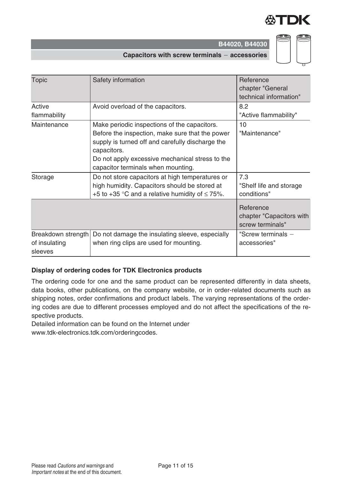



| <b>Topic</b>                                   | Safety information                                                                                                                                                                                                                                          | Reference<br>chapter "General<br>technical information"   |
|------------------------------------------------|-------------------------------------------------------------------------------------------------------------------------------------------------------------------------------------------------------------------------------------------------------------|-----------------------------------------------------------|
| Active<br>flammability                         | Avoid overload of the capacitors.                                                                                                                                                                                                                           | 8.2<br>"Active flammability"                              |
| Maintenance                                    | Make periodic inspections of the capacitors.<br>Before the inspection, make sure that the power<br>supply is turned off and carefully discharge the<br>capacitors.<br>Do not apply excessive mechanical stress to the<br>capacitor terminals when mounting. | 10<br>"Maintenance"                                       |
| Storage                                        | Do not store capacitors at high temperatures or<br>high humidity. Capacitors should be stored at<br>+5 to +35 °C and a relative humidity of $\leq$ 75%.                                                                                                     | 7.3<br>"Shelf life and storage<br>conditions"             |
|                                                |                                                                                                                                                                                                                                                             | Reference<br>chapter "Capacitors with<br>screw terminals" |
| Breakdown strength<br>of insulating<br>sleeves | Do not damage the insulating sleeve, especially<br>when ring clips are used for mounting.                                                                                                                                                                   | "Screw terminals $-$<br>accessories"                      |

#### **Display of ordering codes for TDK Electronics products**

The ordering code for one and the same product can be represented differently in data sheets, data books, other publications, on the company website, or in order-related documents such as shipping notes, order confirmations and product labels. The varying representations of the ordering codes are due to different processes employed and do not affect the specifications of the respective products.

Detailed information can be found on the Internet under

www.tdk-electronics.tdk.com/orderingcodes.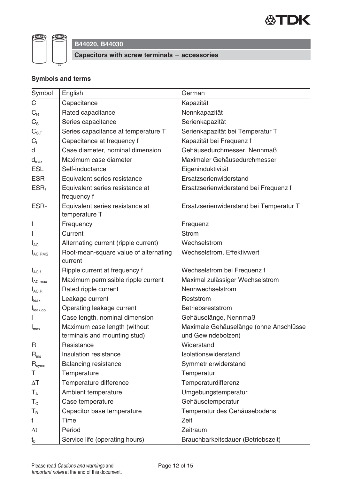



**Capacitors with screw terminals accessories**

### **Symbols and terms**

| Symbol                       | English                                                      | German                                                       |
|------------------------------|--------------------------------------------------------------|--------------------------------------------------------------|
| $\mathsf C$                  | Capacitance                                                  | Kapazität                                                    |
| $C_R$                        | Rated capacitance                                            | Nennkapazität                                                |
| $C_{\rm S}$                  | Series capacitance                                           | Serienkapazität                                              |
| $C_{S,T}$                    | Series capacitance at temperature T                          | Serienkapazität bei Temperatur T                             |
| $C_{\text{f}}$               | Capacitance at frequency f                                   | Kapazität bei Frequenz f                                     |
| d                            | Case diameter, nominal dimension                             | Gehäusedurchmesser, Nennmaß                                  |
| $\mathsf{d}_{\mathsf{max}}$  | Maximum case diameter                                        | Maximaler Gehäusedurchmesser                                 |
| <b>ESL</b>                   | Self-inductance                                              | Eigeninduktivität                                            |
| <b>ESR</b>                   | Equivalent series resistance                                 | Ersatzserienwiderstand                                       |
| $ESR_t$                      | Equivalent series resistance at<br>frequency f               | Ersatzserienwiderstand bei Frequenz f                        |
| ESR <sub>T</sub>             | Equivalent series resistance at<br>temperature T             | Ersatzserienwiderstand bei Temperatur T                      |
| f                            | Frequency                                                    | Frequenz                                                     |
|                              | Current                                                      | <b>Strom</b>                                                 |
| $I_{AC}$                     | Alternating current (ripple current)                         | Wechselstrom                                                 |
| $I_{AC,RMS}$                 | Root-mean-square value of alternating<br>current             | Wechselstrom, Effektivwert                                   |
| $I_{AC,f}$                   | Ripple current at frequency f                                | Wechselstrom bei Frequenz f                                  |
| $I_{AC,max}$                 | Maximum permissible ripple current                           | Maximal zulässiger Wechselstrom                              |
| $I_{AC, R}$                  | Rated ripple current                                         | Nennwechselstrom                                             |
| $I_{\text{leak}}$            | Leakage current                                              | Reststrom                                                    |
| I <sub>leak,op</sub>         | Operating leakage current                                    | Betriebsreststrom                                            |
|                              | Case length, nominal dimension                               | Gehäuselänge, Nennmaß                                        |
| $I_{\text{max}}$             | Maximum case length (without<br>terminals and mounting stud) | Maximale Gehäuselänge (ohne Anschlüsse<br>und Gewindebolzen) |
| R                            | Resistance                                                   | Widerstand                                                   |
| $\mathsf{R}_{\mathsf{ins}}$  | Insulation resistance                                        | Isolationswiderstand                                         |
| $\mathsf{R}_{\mathsf{symm}}$ | <b>Balancing resistance</b>                                  | Symmetrierwiderstand                                         |
| Т                            | Temperature                                                  | Temperatur                                                   |
| $\Delta T$                   | Temperature difference                                       | Temperaturdifferenz                                          |
| $T_A$                        | Ambient temperature                                          | Umgebungstemperatur                                          |
| $T_c$                        | Case temperature                                             | Gehäusetemperatur                                            |
| $T_B$                        | Capacitor base temperature                                   | Temperatur des Gehäusebodens                                 |
| t                            | Time                                                         | Zeit                                                         |
| $\Delta t$                   | Period                                                       | Zeitraum                                                     |
| $t_{b}$                      | Service life (operating hours)                               | Brauchbarkeitsdauer (Betriebszeit)                           |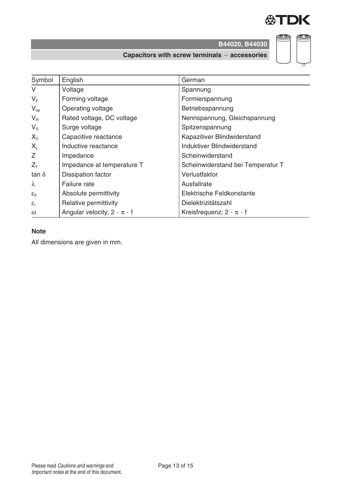

(CD)

œ,

**B44020, B44030**

**Capacitors with screw terminals accessories**

| Symbol          | English                                 | German                               |
|-----------------|-----------------------------------------|--------------------------------------|
| $\vee$          | Voltage                                 | Spannung                             |
| $V_F$           | Forming voltage                         | Formierspannung                      |
| $V_{op}$        | Operating voltage                       | Betriebsspannung                     |
| $V_{R}$         | Rated voltage, DC voltage               | Nennspannung, Gleichspannung         |
| $V_{\rm S}$     | Surge voltage                           | Spitzenspannung                      |
| $X_{C}$         | Capacitive reactance                    | Kapazitiver Blindwiderstand          |
| $X_{L}$         | Inductive reactance                     | Induktiver Blindwiderstand           |
| Z               | Impedance                               | Scheinwiderstand                     |
| $Z_T$           | Impedance at temperature T              | Scheinwiderstand bei Temperatur T    |
| tan $\delta$    | Dissipation factor                      | Verlustfaktor                        |
| $\lambda$       | Failure rate                            | Ausfallrate                          |
| $\varepsilon_0$ | Absolute permittivity                   | Elektrische Feldkonstante            |
| $\epsilon_{r}$  | Relative permittivity                   | Dielektrizitätszahl                  |
| $\omega$        | Angular velocity; $2 \cdot \pi \cdot f$ | Kreisfrequenz; $2 \cdot \pi \cdot f$ |

#### **Note**

All dimensions are given in mm.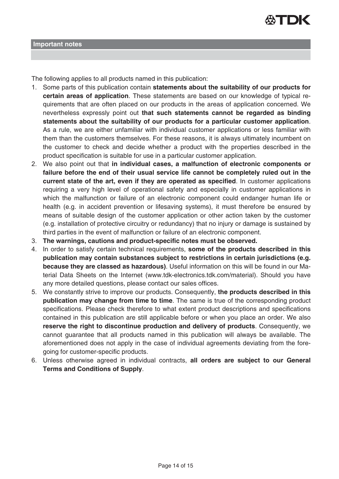

The following applies to all products named in this publication:

- 1. Some parts of this publication contain **statements about the suitability of our products for certain areas of application**. These statements are based on our knowledge of typical requirements that are often placed on our products in the areas of application concerned. We nevertheless expressly point out **that such statements cannot be regarded as binding statements about the suitability of our products for a particular customer application**. As a rule, we are either unfamiliar with individual customer applications or less familiar with them than the customers themselves. For these reasons, it is always ultimately incumbent on the customer to check and decide whether a product with the properties described in the product specification is suitable for use in a particular customer application.
- 2. We also point out that **in individual cases, a malfunction of electronic components or failure before the end of their usual service life cannot be completely ruled out in the current state of the art, even if they are operated as specified**. In customer applications requiring a very high level of operational safety and especially in customer applications in which the malfunction or failure of an electronic component could endanger human life or health (e.g. in accident prevention or lifesaving systems), it must therefore be ensured by means of suitable design of the customer application or other action taken by the customer (e.g. installation of protective circuitry or redundancy) that no injury or damage is sustained by third parties in the event of malfunction or failure of an electronic component.
- 3. **The warnings, cautions and product-specific notes must be observed.**
- 4. In order to satisfy certain technical requirements, **some of the products described in this publication may contain substances subject to restrictions in certain jurisdictions (e.g. because they are classed as hazardous)**. Useful information on this will be found in our Material Data Sheets on the Internet (www.tdk-electronics.tdk.com/material). Should you have any more detailed questions, please contact our sales offices.
- 5. We constantly strive to improve our products. Consequently, **the products described in this publication may change from time to time**. The same is true of the corresponding product specifications. Please check therefore to what extent product descriptions and specifications contained in this publication are still applicable before or when you place an order. We also **reserve the right to discontinue production and delivery of products**. Consequently, we cannot guarantee that all products named in this publication will always be available. The aforementioned does not apply in the case of individual agreements deviating from the foregoing for customer-specific products.
- 6. Unless otherwise agreed in individual contracts, **all orders are subject to our General Terms and Conditions of Supply**.